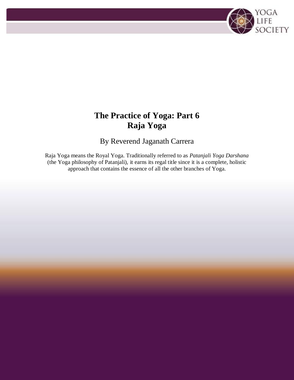# **The Practice of Yoga: Part 6 Raja Yoga**

YOGA<br>Life<br>Society

By Reverend Jaganath Carrera

Raja Yoga means the Royal Yoga. Traditionally referred to as *Patanjali Yoga Darshana* (the Yoga philosophy of Patanjali), it earns its regal title since it is a complete, holistic approach that contains the essence of all the other branches of Yoga.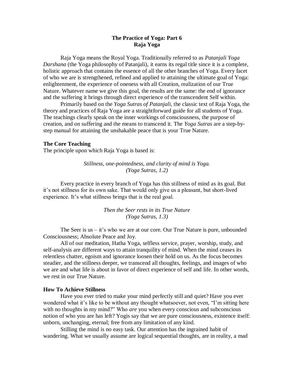## **The Practice of Yoga: Part 6 Raja Yoga**

Raja Yoga means the Royal Yoga. Traditionally referred to as *Patanjali Yoga Darshana* (the Yoga philosophy of Patanjali), it earns its regal title since it is a complete, holistic approach that contains the essence of all the other branches of Yoga. Every facet of who we are is strengthened, refined and applied to attaining the ultimate goal of Yoga: enlightenment, the experience of oneness with all Creation, realization of our True Nature. Whatever name we give this goal, the results are the same: the end of ignorance and the suffering it brings through direct experience of the transcendent Self within.

Primarily based on the *Yoga Sutras of Patanjali*, the classic text of Raja Yoga, the theory and practices of Raja Yoga are a straightforward guide for all students of Yoga. The teachings clearly speak on the inner workings of consciousness, the purpose of creation, and on suffering and the means to transcend it. The *Yoga Sutras* are a step-bystep manual for attaining the unshakable peace that is your True Nature.

#### **The Core Teaching**

The principle upon which Raja Yoga is based is:

*Stillness, one-pointedness, and clarity of mind is Yoga. (Yoga Sutras, 1.2)*

Every practice in every branch of Yoga has this stillness of mind as its goal. But it's not stillness for its own sake. That would only give us a pleasant, but short-lived experience. It's what stillness brings that is the real goal.

## *Then the Seer rests in its True Nature (Yoga Sutras, 1.3)*

The Seer is us  $-$  it's who we are at our core. Our True Nature is pure, unbounded Consciousness; Absolute Peace and Joy.

All of our meditation, Hatha Yoga, selfless service, prayer, worship, study, and self-analysis are different ways to attain tranquility of mind. When the mind ceases its relentless chatter, egoism and ignorance loosen their hold on us. As the focus becomes steadier, and the stillness deeper, we transcend all thoughts, feelings, and images of who we are and what life is about in favor of direct experience of self and life. In other words, we rest in our True Nature.

#### **How To Achieve Stillness**

Have you ever tried to make your mind perfectly still and quiet? Have you ever wondered what it's like to be without any thought whatsoever, not even, "I'm sitting here with no thoughts in my mind?" Who *are* you when every conscious and subconscious notion of who you are has left? Yogis say that we are pure consciousness, existence itself: unborn, unchanging, eternal; free from any limitation of any kind.

Stilling the mind is no easy task. Our attention has the ingrained habit of wandering. What we usually assume are logical sequential thoughts, are in reality, a mad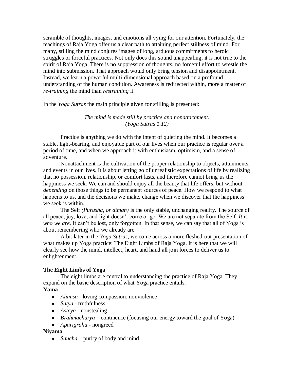scramble of thoughts, images, and emotions all vying for our attention. Fortunately, the teachings of Raja Yoga offer us a clear path to attaining perfect stillness of mind. For many, stilling the mind conjures images of long, arduous commitments to heroic struggles or forceful practices. Not only does this sound unappealing, it is not true to the spirit of Raja Yoga. There is no suppression of thoughts, no forceful effort to wrestle the mind into submission. That approach would only bring tension and disappointment. Instead, we learn a powerful multi-dimensional approach based on a profound understanding of the human condition. Awareness is redirected within, more a matter of *re-training* the mind than *restraining* it.

In the *Yoga Sutras* the main principle given for stilling is presented:

# *The mind is made still by practice and nonattachment. (Yoga Sutras 1.12)*

Practice is anything we do with the intent of quieting the mind. It becomes a stable, light-bearing, and enjoyable part of our lives when our practice is regular over a period of time, and when we approach it with enthusiasm, optimism, and a sense of adventure.

Nonattachment is the cultivation of the proper relationship to objects, attainments, and events in our lives. It is about letting go of unrealistic expectations of life by realizing that no possession, relationship, or comfort lasts, and therefore cannot bring us the happiness we seek. We can and should enjoy all the beauty that life offers, but without *depending* on those things to be permanent sources of peace. How we respond to what happens to us, and the decisions we make, change when we discover that the happiness we seek is within.

The Self *(Purusha, or atman)* is the only stable, unchanging reality. The source of all peace, joy, love, and light doesn't come or go. We are not separate from the Self. *It is who we are*. It can't be lost, only forgotten. In that sense, we can say that all of Yoga is about remembering who we already are.

A bit later in the *Yoga Sutras,* we come across a more fleshed-out presentation of what makes up Yoga practice: The Eight Limbs of Raja Yoga. It is here that we will clearly see how the mind, intellect, heart, and hand all join forces to deliver us to enlightenment.

# **The Eight Limbs of Yoga**

The eight limbs are central to understanding the practice of Raja Yoga. They expand on the basic description of what Yoga practice entails.

# **Yama**

- *Ahimsa* loving compassion; nonviolence
- *Satya* truthfulness
- *Asteya* nonstealing
- *Brahmacharya* continence (focusing our energy toward the goal of Yoga)
- *Aparigraha* nongreed

## **Niyama**

• *Saucha* – purity of body and mind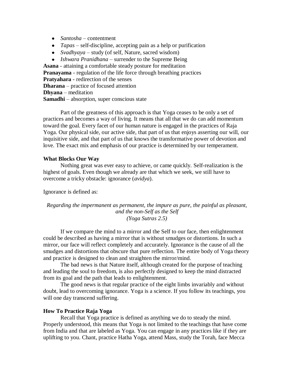- *Santosha* contentment
- *Tapas* self-discipline, accepting pain as a help or purification
- *Svadhyaya* study (of self, Nature, sacred wisdom)

*Ishwara Pranidhana* – surrender to the Supreme Being **Asana** - attaining a comfortable steady posture for meditation **Pranayama** - regulation of the life force through breathing practices **Pratyahara** - redirection of the senses **Dharana** – practice of focused attention **Dhyana** – meditation **Samadhi** – absorption, super conscious state

Part of the greatness of this approach is that Yoga ceases to be only a set of practices and becomes a way of living. It means that all that we do can add momentum toward the goal. Every facet of our human nature is engaged in the practices of Raja Yoga. Our physical side, our active side, that part of us that enjoys asserting our will, our inquisitive side, and that part of us that knows the transformative power of devotion and love. The exact mix and emphasis of our practice is determined by our temperament.

#### **What Blocks Our Way**

Nothing great was ever easy to achieve, or came quickly. Self-realization is the highest of goals. Even though we already are that which we seek, we still have to overcome a tricky obstacle: ignorance (*avidya*).

Ignorance is defined as:

*Regarding the impermanent as permanent, the impure as pure, the painful as pleasant, and the non-Self as the Self (Yoga Sutras 2.5)*

If we compare the mind to a mirror and the Self to our face, then enlightenment could be described as having a mirror that is without smudges or distortions. In such a mirror, our face will reflect completely and accurately. Ignorance is the cause of all the smudges and distortions that obscure that pure reflection. The entire body of Yoga theory and practice is designed to clean and straighten the mirror/mind.

The bad news is that Nature itself, although created for the purpose of teaching and leading the soul to freedom, is also perfectly designed to keep the mind distracted from its goal and the path that leads to enlightenment.

The good news is that regular practice of the eight limbs invariably and without doubt, lead to overcoming ignorance. Yoga is a science. If you follow its teachings, you will one day transcend suffering.

#### **How To Practice Raja Yoga**

Recall that Yoga practice is defined as anything we do to steady the mind. Properly understood, this means that Yoga is not limited to the teachings that have come from India and that are labeled as Yoga. You can engage in any practices like if they are uplifting to you. Chant, practice Hatha Yoga, attend Mass, study the Torah, face Mecca